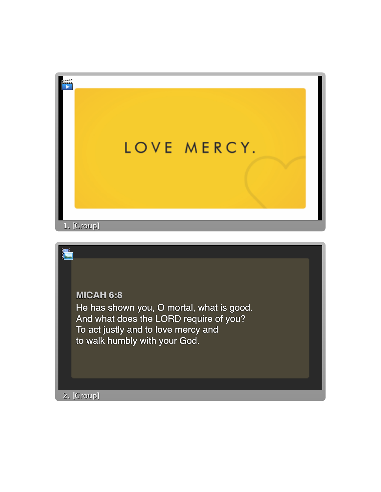

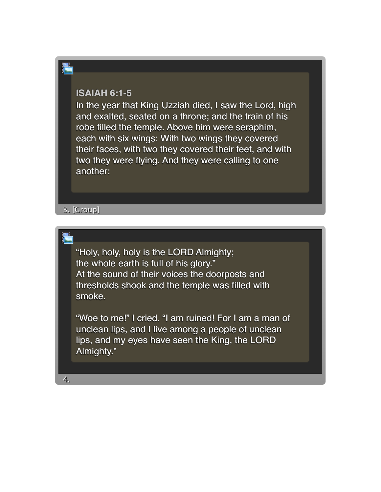## **ISAIAH 6:1-5**

E

In the year that King Uzziah died, I saw the Lord, high and exalted, seated on a throne; and the train of his robe filled the temple. Above him were seraphim, each with six wings: With two wings they covered their faces, with two they covered their feet, and with two they were flying. And they were calling to one another:

3. [Group] 3. [Group]

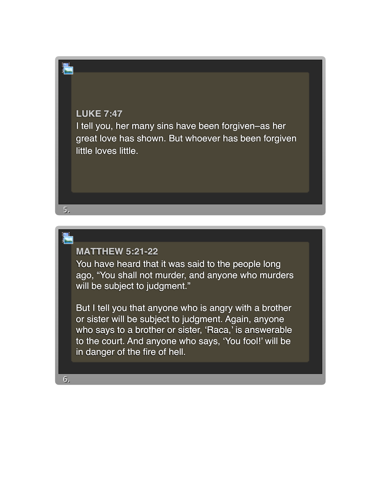## **LUKE 7:47**

5. 5.

E

6. 6.

I tell you, her many sins have been forgiven–as her great love has shown. But whoever has been forgiven little loves little.

## **MATTHEW 5:21-22**

You have heard that it was said to the people long ago, "You shall not murder, and anyone who murders will be subject to judgment."

But I tell you that anyone who is angry with a brother or sister will be subject to judgment. Again, anyone who says to a brother or sister, 'Raca,' is answerable to the court. And anyone who says, 'You fool!' will be in danger of the fire of hell.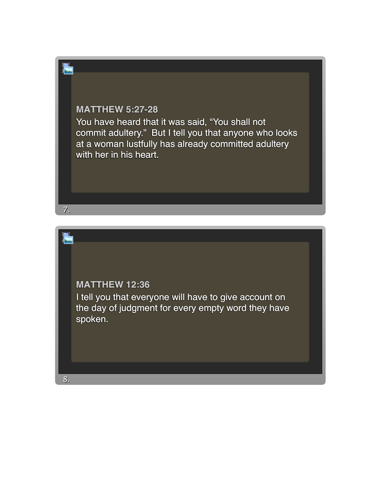## **MATTHEW 5:27-28**

You have heard that it was said, "You shall not commit adultery." But I tell you that anyone who looks at a woman lustfully has already committed adultery with her in his heart.



7. 7.

E

8. 8.

I tell you that everyone will have to give account on the day of judgment for every empty word they have spoken.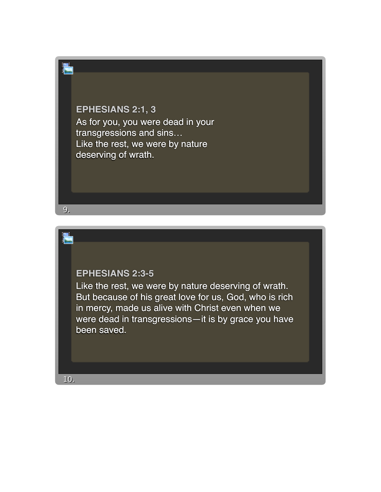**EPHESIANS 2:1, 3** As for you, you were dead in your transgressions and sins… Like the rest, we were by nature deserving of wrath.



Like the rest, we were by nature deserving of wrath. But because of his great love for us, God, who is rich in mercy, made us alive with Christ even when we were dead in transgressions—it is by grace you have been saved.

10. 10.

9. 9.

E